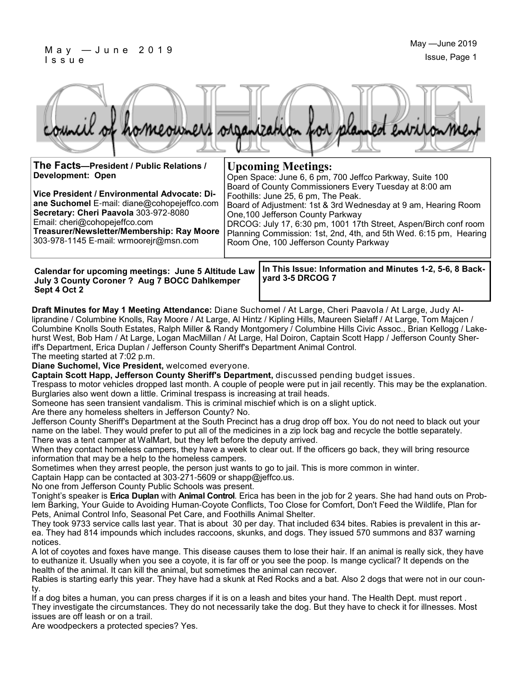#### M a y — J u n e 2 0 1 9 I s s u e



One,100 Jefferson County Parkway

Room One, 100 Jefferson County Parkway

| The Facts-President / Public Relations /     | <b>Upcoming Meetings:</b>                               |
|----------------------------------------------|---------------------------------------------------------|
| Development: Open                            | Open Space: June 6, 6 pm, 700 Jeffco Parkway, Suite 100 |
|                                              | Board of County Commissioners Every Tuesday at 8:00 am  |
| Vice President / Environmental Advocate: Di- | Foothills: June 25, 6 pm, The Peak.                     |

**Vice President / Environmental Advocate: Diane Suchomel** E-mail: diane@cohopejeffco.com **Secretary: Cheri Paavola** 303-972-8080 Email: cheri@cohopejeffco.com **Treasurer/Newsletter/Membership: Ray Moore** 

303-978-1145 E-mail: wrmoorejr@msn.com

| Calendar for upcoming meetings: June 5 Altitude Law |
|-----------------------------------------------------|
| July 3 County Coroner ? Aug 7 BOCC Dahlkemper       |
| Sept 4 Oct 2                                        |

**In This Issue: Information and Minutes 1-2, 5-6, 8 Backyard 3-5 DRCOG 7**

Board of Adjustment: 1st & 3rd Wednesday at 9 am, Hearing Room

DRCOG: July 17, 6:30 pm, 1001 17th Street, Aspen/Birch conf room Planning Commission: 1st, 2nd, 4th, and 5th Wed. 6:15 pm, Hearing

**Draft Minutes for May 1 Meeting Attendance:** Diane Suchomel / At Large, Cheri Paavola / At Large, Judy Alliprandine / Columbine Knolls, Ray Moore / At Large, Al Hintz / Kipling Hills, Maureen Sielaff / At Large, Tom Majcen / Columbine Knolls South Estates, Ralph Miller & Randy Montgomery / Columbine Hills Civic Assoc., Brian Kellogg / Lakehurst West, Bob Ham / At Large, Logan MacMillan / At Large, Hal Doiron, Captain Scott Happ / Jefferson County Sheriff's Department, Erica Duplan / Jefferson County Sheriff's Department Animal Control.

The meeting started at 7:02 p.m.

**Diane Suchomel, Vice President,** welcomed everyone.

**Captain Scott Happ, Jefferson County Sheriff's Department,** discussed pending budget issues.

Trespass to motor vehicles dropped last month. A couple of people were put in jail recently. This may be the explanation. Burglaries also went down a little. Criminal trespass is increasing at trail heads.

Someone has seen transient vandalism. This is criminal mischief which is on a slight uptick.

Are there any homeless shelters in Jefferson County? No.

Jefferson County Sheriff's Department at the South Precinct has a drug drop off box. You do not need to black out your name on the label. They would prefer to put all of the medicines in a zip lock bag and recycle the bottle separately. There was a tent camper at WalMart, but they left before the deputy arrived.

When they contact homeless campers, they have a week to clear out. If the officers go back, they will bring resource information that may be a help to the homeless campers.

Sometimes when they arrest people, the person just wants to go to jail. This is more common in winter.

Captain Happ can be contacted at 303-271-5609 or shapp@jeffco.us.

No one from Jefferson County Public Schools was present.

Tonight's speaker is **Erica Duplan** with **Animal Control**. Erica has been in the job for 2 years. She had hand outs on Problem Barking, Your Guide to Avoiding Human-Coyote Conflicts, Too Close for Comfort, Don't Feed the Wildlife, Plan for Pets, Animal Control Info, Seasonal Pet Care, and Foothills Animal Shelter.

They took 9733 service calls last year. That is about 30 per day. That included 634 bites. Rabies is prevalent in this area. They had 814 impounds which includes raccoons, skunks, and dogs. They issued 570 summons and 837 warning notices.

A lot of coyotes and foxes have mange. This disease causes them to lose their hair. If an animal is really sick, they have to euthanize it. Usually when you see a coyote, it is far off or you see the poop. Is mange cyclical? It depends on the health of the animal. It can kill the animal, but sometimes the animal can recover.

Rabies is starting early this year. They have had a skunk at Red Rocks and a bat. Also 2 dogs that were not in our county.

If a dog bites a human, you can press charges if it is on a leash and bites your hand. The Health Dept. must report . They investigate the circumstances. They do not necessarily take the dog. But they have to check it for illnesses. Most issues are off leash or on a trail.

Are woodpeckers a protected species? Yes.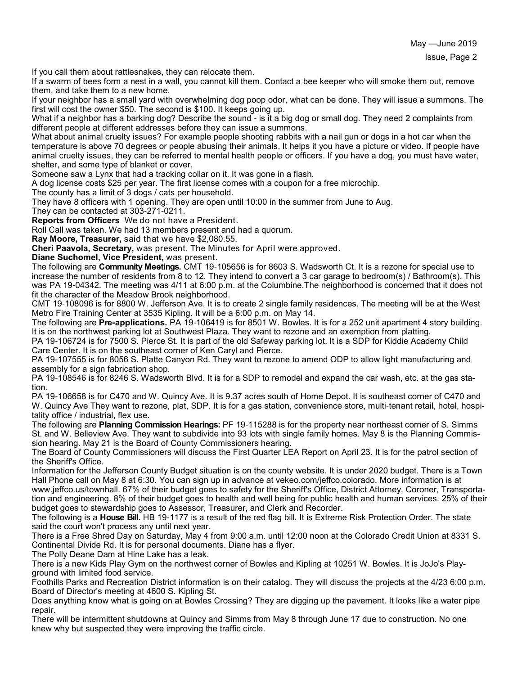If you call them about rattlesnakes, they can relocate them.

If a swarm of bees form a nest in a wall, you cannot kill them. Contact a bee keeper who will smoke them out, remove them, and take them to a new home.

If your neighbor has a small yard with overwhelming dog poop odor, what can be done. They will issue a summons. The first will cost the owner \$50. The second is \$100. It keeps going up.

What if a neighbor has a barking dog? Describe the sound - is it a big dog or small dog. They need 2 complaints from different people at different addresses before they can issue a summons.

What about animal cruelty issues? For example people shooting rabbits with a nail gun or dogs in a hot car when the temperature is above 70 degrees or people abusing their animals. It helps it you have a picture or video. If people have animal cruelty issues, they can be referred to mental health people or officers. If you have a dog, you must have water, shelter, and some type of blanket or cover.

Someone saw a Lynx that had a tracking collar on it. It was gone in a flash.

A dog license costs \$25 per year. The first license comes with a coupon for a free microchip.

The county has a limit of 3 dogs / cats per household.

They have 8 officers with 1 opening. They are open until 10:00 in the summer from June to Aug. They can be contacted at 303-271-0211.

**Reports from Officers** We do not have a President.

Roll Call was taken. We had 13 members present and had a quorum.

**Ray Moore, Treasurer,** said that we have \$2,080.55.

**Cheri Paavola, Secretary,** was present. The Minutes for April were approved.

**Diane Suchomel, Vice President,** was present.

The following are **Community Meetings.** CMT 19-105656 is for 8603 S. Wadsworth Ct. It is a rezone for special use to increase the number of residents from 8 to 12. They intend to convert a 3 car garage to bedroom(s) / Bathroom(s). This was PA 19-04342. The meeting was 4/11 at 6:00 p.m. at the Columbine.The neighborhood is concerned that it does not fit the character of the Meadow Brook neighborhood.

CMT 19-108096 is for 8800 W. Jefferson Ave. It is to create 2 single family residences. The meeting will be at the West Metro Fire Training Center at 3535 Kipling. It will be a 6:00 p.m. on May 14.

The following are **Pre-applications.** PA 19-106419 is for 8501 W. Bowles. It is for a 252 unit apartment 4 story building. It is on the northwest parking lot at Southwest Plaza. They want to rezone and an exemption from platting.

PA 19-106724 is for 7500 S. Pierce St. It is part of the old Safeway parking lot. It is a SDP for Kiddie Academy Child Care Center. It is on the southeast corner of Ken Caryl and Pierce.

PA 19-107555 is for 8056 S. Platte Canyon Rd. They want to rezone to amend ODP to allow light manufacturing and assembly for a sign fabrication shop.

PA 19-108546 is for 8246 S. Wadsworth Blvd. It is for a SDP to remodel and expand the car wash, etc. at the gas station.

PA 19-106658 is for C470 and W. Quincy Ave. It is 9.37 acres south of Home Depot. It is southeast corner of C470 and W. Quincy Ave They want to rezone, plat, SDP. It is for a gas station, convenience store, multi-tenant retail, hotel, hospitality office / industrial, flex use.

The following are **Planning Commission Hearings:** PF 19-115288 is for the property near northeast corner of S. Simms St. and W. Belleview Ave. They want to subdivide into 93 lots with single family homes. May 8 is the Planning Commission hearing. May 21 is the Board of County Commissioners hearing.

The Board of County Commissioners will discuss the First Quarter LEA Report on April 23. It is for the patrol section of the Sheriff's Office.

Information for the Jefferson County Budget situation is on the county website. It is under 2020 budget. There is a Town Hall Phone call on May 8 at 6:30. You can sign up in advance at vekeo.com/jeffco.colorado. More information is at www.jeffco.us/townhall. 67% of their budget goes to safety for the Sheriff's Office, District Attorney, Coroner, Transportation and engineering. 8% of their budget goes to health and well being for public health and human services. 25% of their budget goes to stewardship goes to Assessor, Treasurer, and Clerk and Recorder.

The following is a **House Bill.** HB 19-1177 is a result of the red flag bill. It is Extreme Risk Protection Order. The state said the court won't process any until next year.

There is a Free Shred Day on Saturday, May 4 from 9:00 a.m. until 12:00 noon at the Colorado Credit Union at 8331 S. Continental Divide Rd. It is for personal documents. Diane has a flyer.

The Polly Deane Dam at Hine Lake has a leak.

There is a new Kids Play Gym on the northwest corner of Bowles and Kipling at 10251 W. Bowles. It is JoJo's Playground with limited food service.

Foothills Parks and Recreation District information is on their catalog. They will discuss the projects at the 4/23 6:00 p.m. Board of Director's meeting at 4600 S. Kipling St.

Does anything know what is going on at Bowles Crossing? They are digging up the pavement. It looks like a water pipe repair.

There will be intermittent shutdowns at Quincy and Simms from May 8 through June 17 due to construction. No one knew why but suspected they were improving the traffic circle.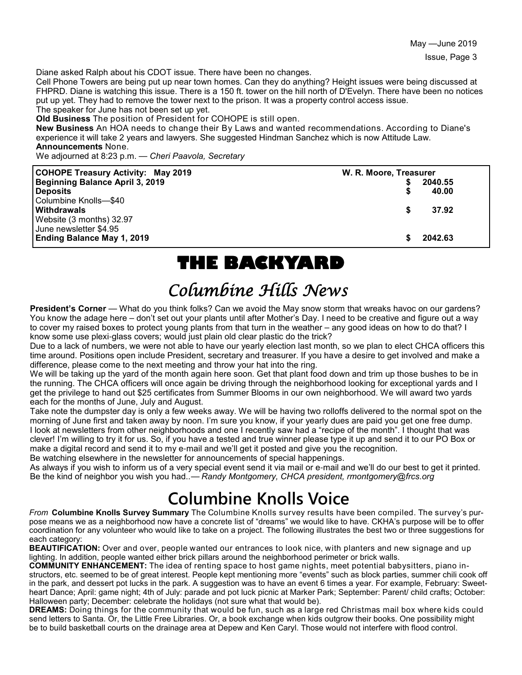Diane asked Ralph about his CDOT issue. There have been no changes.

Cell Phone Towers are being put up near town homes. Can they do anything? Height issues were being discussed at FHPRD. Diane is watching this issue. There is a 150 ft. tower on the hill north of D'Evelyn. There have been no notices put up yet. They had to remove the tower next to the prison. It was a property control access issue.

The speaker for June has not been set up yet. **Old Business** The position of President for COHOPE is still open.

**New Business** An HOA needs to change their By Laws and wanted recommendations. According to Diane's experience it will take 2 years and lawyers. She suggested Hindman Sanchez which is now Attitude Law. **Announcements** None.

We adjourned at 8:23 p.m. — *Cheri Paavola, Secretary*

| <b>COHOPE Treasury Activity: May 2019</b> | W. R. Moore, Treasurer |         |
|-------------------------------------------|------------------------|---------|
| Beginning Balance April 3, 2019           |                        | 2040.55 |
| <b>Deposits</b>                           |                        | 40.00   |
| Columbine Knolls-\$40                     |                        |         |
| <b>Withdrawals</b>                        |                        | 37.92   |
| Website (3 months) 32.97                  |                        |         |
| June newsletter \$4.95                    |                        |         |
| <b>Ending Balance May 1, 2019</b>         |                        | 2042.63 |

## **THE BACKYARD**

## Columbine Hills News

**President's Corner** — What do you think folks? Can we avoid the May snow storm that wreaks havoc on our gardens? You know the adage here – don't set out your plants until after Mother's Day. I need to be creative and figure out a way to cover my raised boxes to protect young plants from that turn in the weather – any good ideas on how to do that? I know some use plexi-glass covers; would just plain old clear plastic do the trick?

Due to a lack of numbers, we were not able to have our yearly election last month, so we plan to elect CHCA officers this time around. Positions open include President, secretary and treasurer. If you have a desire to get involved and make a difference, please come to the next meeting and throw your hat into the ring.

We will be taking up the yard of the month again here soon. Get that plant food down and trim up those bushes to be in the running. The CHCA officers will once again be driving through the neighborhood looking for exceptional yards and I get the privilege to hand out \$25 certificates from Summer Blooms in our own neighborhood. We will award two yards each for the months of June, July and August.

Take note the dumpster day is only a few weeks away. We will be having two rolloffs delivered to the normal spot on the morning of June first and taken away by noon. I'm sure you know, if your yearly dues are paid you get one free dump. I look at newsletters from other neighborhoods and one I recently saw had a "recipe of the month". I thought that was clever! I'm willing to try it for us. So, if you have a tested and true winner please type it up and send it to our PO Box or make a digital record and send it to my e-mail and we'll get it posted and give you the recognition.

Be watching elsewhere in the newsletter for announcements of special happenings.

As always if you wish to inform us of a very special event send it via mail or e-mail and we'll do our best to get it printed. Be the kind of neighbor you wish you had.<sup>1</sup>— Randy Montgomery, CHCA president, rmontgomery@frcs.org

# **Columbine Knolls Voice**

*From* **Columbine Knolls Survey Summary** The Columbine Knolls survey results have been compiled. The survey's purpose means we as a neighborhood now have a concrete list of "dreams" we would like to have. CKHA's purpose will be to offer coordination for any volunteer who would like to take on a project. The following illustrates the best two or three suggestions for each category:

**BEAUTIFICATION:** Over and over, people wanted our entrances to look nice, with planters and new signage and up lighting. In addition, people wanted either brick pillars around the neighborhood perimeter or brick walls.

**COMMUNITY ENHANCEMENT:** The idea of renting space to host game nights, meet potential babysitters, piano instructors, etc. seemed to be of great interest. People kept mentioning more "events" such as block parties, summer chili cook off in the park, and dessert pot lucks in the park. A suggestion was to have an event 6 times a year. For example, February: Sweetheart Dance; April: game night; 4th of July: parade and pot luck picnic at Marker Park; September: Parent/ child crafts; October: Halloween party; December: celebrate the holidays (not sure what that would be).

**DREAMS:** Doing things for the community that would be fun, such as a large red Christmas mail box where kids could send letters to Santa. Or, the Little Free Libraries. Or, a book exchange when kids outgrow their books. One possibility might be to build basketball courts on the drainage area at Depew and Ken Caryl. Those would not interfere with flood control.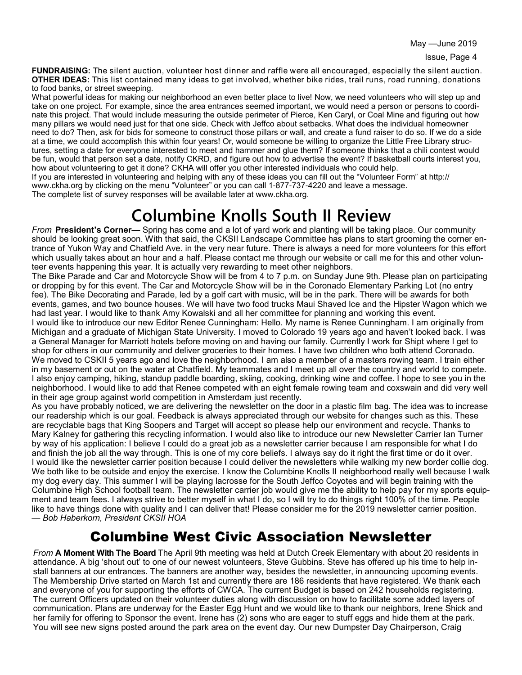**FUNDRAISING:** The silent auction, volunteer host dinner and raffle were all encouraged, especially the silent auction. **OTHER IDEAS:** This list contained many ideas to get involved, whether bike rides, trail runs, road running, donations to food banks, or street sweeping.

What powerful ideas for making our neighborhood an even better place to live! Now, we need volunteers who will step up and take on one project. For example, since the area entrances seemed important, we would need a person or persons to coordinate this project. That would include measuring the outside perimeter of Pierce, Ken Caryl, or Coal Mine and figuring out how many pillars we would need just for that one side. Check with Jeffco about setbacks. What does the individual homeowner need to do? Then, ask for bids for someone to construct those pillars or wall, and create a fund raiser to do so. If we do a side at a time, we could accomplish this within four years! Or, would someone be willing to organize the Little Free Library structures, setting a date for everyone interested to meet and hammer and glue them? If someone thinks that a chili contest would be fun, would that person set a date, notify CKRD, and figure out how to advertise the event? If basketball courts interest you, how about volunteering to get it done? CKHA will offer you other interested individuals who could help.

If you are interested in volunteering and helping with any of these ideas you can fill out the "Volunteer Form" at http:// www.ckha.org by clicking on the menu "Volunteer" or you can call 1-877-737-4220 and leave a message.

The complete list of survey responses will be available later at www.ckha.org.

# **Columbine Knolls South II Review**

*From* **President's Corner—** Spring has come and a lot of yard work and planting will be taking place. Our community should be looking great soon. With that said, the CKSII Landscape Committee has plans to start grooming the corner entrance of Yukon Way and Chatfield Ave. in the very near future. There is always a need for more volunteers for this effort which usually takes about an hour and a half. Please contact me through our website or call me for this and other volunteer events happening this year. It is actually very rewarding to meet other neighbors.

The Bike Parade and Car and Motorcycle Show will be from 4 to 7 p.m. on Sunday June 9th. Please plan on participating or dropping by for this event. The Car and Motorcycle Show will be in the Coronado Elementary Parking Lot (no entry fee). The Bike Decorating and Parade, led by a golf cart with music, will be in the park. There will be awards for both events, games, and two bounce houses. We will have two food trucks Maui Shaved Ice and the Hipster Wagon which we had last year. I would like to thank Amy Kowalski and all her committee for planning and working this event.

I would like to introduce our new Editor Renee Cunningham: Hello. My name is Renee Cunningham. I am originally from Michigan and a graduate of Michigan State University. I moved to Colorado 19 years ago and haven't looked back. I was a General Manager for Marriott hotels before moving on and having our family. Currently I work for Shipt where I get to shop for others in our community and deliver groceries to their homes. I have two children who both attend Coronado. We moved to CSKII 5 years ago and love the neighborhood. I am also a member of a masters rowing team. I train either in my basement or out on the water at Chatfield. My teammates and I meet up all over the country and world to compete. I also enjoy camping, hiking, standup paddle boarding, skiing, cooking, drinking wine and coffee. I hope to see you in the neighborhood. I would like to add that Renee competed with an eight female rowing team and coxswain and did very well in their age group against world competition in Amsterdam just recently.

As you have probably noticed, we are delivering the newsletter on the door in a plastic film bag. The idea was to increase our readership which is our goal. Feedback is always appreciated through our website for changes such as this. These are recyclable bags that King Soopers and Target will accept so please help our environment and recycle. Thanks to Mary Kalney for gathering this recycling information. I would also like to introduce our new Newsletter Carrier Ian Turner by way of his application: I believe I could do a great job as a newsletter carrier because I am responsible for what I do and finish the job all the way through. This is one of my core beliefs. I always say do it right the first time or do it over. I would like the newsletter carrier position because I could deliver the newsletters while walking my new border collie dog. We both like to be outside and enjoy the exercise. I know the Columbine Knolls II neighborhood really well because I walk my dog every day. This summer I will be playing lacrosse for the South Jeffco Coyotes and will begin training with the Columbine High School football team. The newsletter carrier job would give me the ability to help pay for my sports equipment and team fees. I always strive to better myself in what I do, so I will try to do things right 100% of the time. People like to have things done with quality and I can deliver that! Please consider me for the 2019 newsletter carrier position. — *Bob Haberkorn, President CKSII HOA*

#### Columbine West Civic Association Newsletter

*From* **A Moment With The Board** The April 9th meeting was held at Dutch Creek Elementary with about 20 residents in attendance. A big 'shout out' to one of our newest volunteers, Steve Gubbins. Steve has offered up his time to help install banners at our entrances. The banners are another way, besides the newsletter, in announcing upcoming events. The Membership Drive started on March 1st and currently there are 186 residents that have registered. We thank each and everyone of you for supporting the efforts of CWCA. The current Budget is based on 242 households registering. The current Officers updated on their volunteer duties along with discussion on how to facilitate some added layers of communication. Plans are underway for the Easter Egg Hunt and we would like to thank our neighbors, Irene Shick and her family for offering to Sponsor the event. Irene has (2) sons who are eager to stuff eggs and hide them at the park. You will see new signs posted around the park area on the event day. Our new Dumpster Day Chairperson, Craig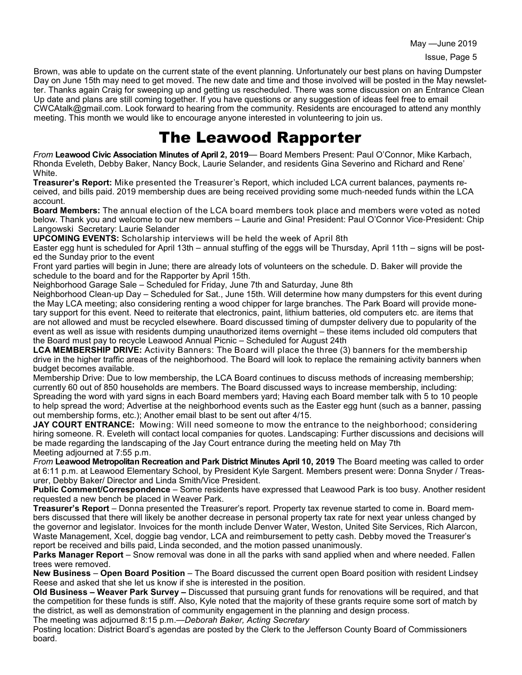Brown, was able to update on the current state of the event planning. Unfortunately our best plans on having Dumpster Day on June 15th may need to get moved. The new date and time and those involved will be posted in the May newsletter. Thanks again Craig for sweeping up and getting us rescheduled. There was some discussion on an Entrance Clean Up date and plans are still coming together. If you have questions or any suggestion of ideas feel free to email CWCAtalk@gmail.com. Look forward to hearing from the community. Residents are encouraged to attend any monthly meeting. This month we would like to encourage anyone interested in volunteering to join us.

## The Leawood Rapporter

*From* **Leawood Civic Association Minutes of April 2, 2019**— Board Members Present: Paul O'Connor, Mike Karbach, Rhonda Eveleth, Debby Baker, Nancy Bock, Laurie Selander, and residents Gina Severino and Richard and Rene' White.

**Treasurer's Report:** Mike presented the Treasurer's Report, which included LCA current balances, payments received, and bills paid. 2019 membership dues are being received providing some much-needed funds within the LCA account.

**Board Members:** The annual election of the LCA board members took place and members were voted as noted below. Thank you and welcome to our new members – Laurie and Gina! President: Paul O'Connor Vice-President: Chip Langowski Secretary: Laurie Selander

**UPCOMING EVENTS:** Scholarship interviews will be held the week of April 8th

Easter egg hunt is scheduled for April 13th – annual stuffing of the eggs will be Thursday, April 11th – signs will be posted the Sunday prior to the event

Front yard parties will begin in June; there are already lots of volunteers on the schedule. D. Baker will provide the schedule to the board and for the Rapporter by April 15th.

Neighborhood Garage Sale – Scheduled for Friday, June 7th and Saturday, June 8th

Neighborhood Clean-up Day – Scheduled for Sat., June 15th. Will determine how many dumpsters for this event during the May LCA meeting; also considering renting a wood chipper for large branches. The Park Board will provide monetary support for this event. Need to reiterate that electronics, paint, lithium batteries, old computers etc. are items that are not allowed and must be recycled elsewhere. Board discussed timing of dumpster delivery due to popularity of the event as well as issue with residents dumping unauthorized items overnight – these items included old computers that the Board must pay to recycle Leawood Annual Picnic – Scheduled for August 24th

**LCA MEMBERSHIP DRIVE:** Activity Banners: The Board will place the three (3) banners for the membership drive in the higher traffic areas of the neighborhood. The Board will look to replace the remaining activity banners when budget becomes available.

Membership Drive: Due to low membership, the LCA Board continues to discuss methods of increasing membership; currently 60 out of 850 households are members. The Board discussed ways to increase membership, including: Spreading the word with yard signs in each Board members yard; Having each Board member talk with 5 to 10 people to help spread the word; Advertise at the neighborhood events such as the Easter egg hunt (such as a banner, passing out membership forms, etc.); Another email blast to be sent out after 4/15.

**JAY COURT ENTRANCE:** Mowing: Will need someone to mow the entrance to the neighborhood; considering hiring someone. R. Eveleth will contact local companies for quotes. Landscaping: Further discussions and decisions will be made regarding the landscaping of the Jay Court entrance during the meeting held on May 7th Meeting adjourned at 7:55 p.m.

*From* **Leawood Metropolitan Recreation and Park District Minutes April 10, 2019** The Board meeting was called to order at 6:11 p.m. at Leawood Elementary School, by President Kyle Sargent. Members present were: Donna Snyder / Treasurer, Debby Baker/ Director and Linda Smith/Vice President.

**Public Comment/Correspondence** – Some residents have expressed that Leawood Park is too busy. Another resident requested a new bench be placed in Weaver Park.

**Treasurer's Report** – Donna presented the Treasurer's report. Property tax revenue started to come in. Board members discussed that there will likely be another decrease in personal property tax rate for next year unless changed by the governor and legislator. Invoices for the month include Denver Water, Weston, United Site Services, Rich Alarcon, Waste Management, Xcel, doggie bag vendor, LCA and reimbursement to petty cash. Debby moved the Treasurer's report be received and bills paid, Linda seconded, and the motion passed unanimously.

**Parks Manager Report** – Snow removal was done in all the parks with sand applied when and where needed. Fallen trees were removed.

**New Business** – **Open Board Position** – The Board discussed the current open Board position with resident Lindsey Reese and asked that she let us know if she is interested in the position.

**Old Business – Weaver Park Survey –** Discussed that pursuing grant funds for renovations will be required, and that the competition for these funds is stiff. Also, Kyle noted that the majority of these grants require some sort of match by the district, as well as demonstration of community engagement in the planning and design process.

The meeting was adjourned 8:15 p.m.—*Deborah Baker, Acting Secretary*

Posting location: District Board's agendas are posted by the Clerk to the Jefferson County Board of Commissioners board.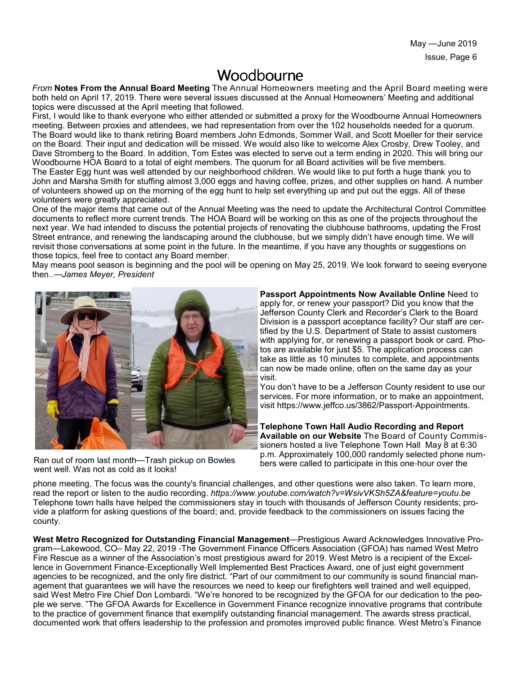May —June 2019 Issue, Page 6

#### Woodbourne

*From* **Notes From the Annual Board Meeting** The Annual Homeowners meeting and the April Board meeting were both held on April 17, 2019. There were several issues discussed at the Annual Homeowners' Meeting and additional topics were discussed at the April meeting that followed.

First, I would like to thank everyone who either attended or submitted a proxy for the Woodbourne Annual Homeowners meeting. Between proxies and attendees, we had representation from over the 102 households needed for a quorum. The Board would like to thank retiring Board members John Edmonds, Sommer Wall, and Scott Moeller for their service on the Board. Their input and dedication will be missed. We would also like to welcome Alex Crosby, Drew Tooley, and Dave Stromberg to the Board. In addition, Tom Estes was elected to serve out a term ending in 2020. This will bring our Woodbourne HOA Board to a total of eight members. The quorum for all Board activities will be five members. The Easter Egg hunt was well attended by our neighborhood children. We would like to put forth a huge thank you to John and Marsha Smith for stuffing almost 3,000 eggs and having coffee, prizes, and other supplies on hand. A number of volunteers showed up on the morning of the egg hunt to help set everything up and put out the eggs. All of these volunteers were greatly appreciated.

One of the major items that came out of the Annual Meeting was the need to update the Architectural Control Committee documents to reflect more current trends. The HOA Board will be working on this as one of the projects throughout the next year. We had intended to discuss the potential projects of renovating the clubhouse bathrooms, updating the Frost Street entrance, and renewing the landscaping around the clubhouse, but we simply didn't have enough time. We will revisit those conversations at some point in the future. In the meantime, if you have any thoughts or suggestions on those topics, feel free to contact any Board member.

May means pool season is beginning and the pool will be opening on May 25, 2019. We look forward to seeing everyone then..—*James Meyer, President*



Ran out of room last month—Trash pickup on Bowles went well. Was not as cold as it looks!

**Passport Appointments Now Available Online** Need to apply for, or renew your passport? Did you know that the Jefferson County Clerk and Recorder's Clerk to the Board Division is a passport acceptance facility? Our staff are certified by the U.S. Department of State to assist customers with applying for, or renewing a passport book or card. Photos are available for just \$5. The application process can take as little as 10 minutes to complete, and appointments can now be made online, often on the same day as your visit.

You don't have to be a Jefferson County resident to use our services. For more information, or to make an appointment, visit https://www.jeffco.us/3862/Passport-Appointments.

**Telephone Town Hall Audio Recording and Report Available on our Website** The Board of County Commissioners hosted a live Telephone Town Hall May 8 at 6:30 p.m. Approximately 100,000 randomly selected phone numbers were called to participate in this one-hour over the

phone meeting. The focus was the county's financial challenges, and other questions were also taken. To learn more, read the report or listen to the audio recording. *https://www.youtube.com/watch?v=WsivVKSh5ZA&feature=youtu.be* Telephone town halls have helped the commissioners stay in touch with thousands of Jefferson County residents; provide a platform for asking questions of the board; and, provide feedback to the commissioners on issues facing the county.

**West Metro Recognized for Outstanding Financial Management**—Prestigious Award Acknowledges Innovative Program—Lakewood, CO– May 22, 2019 -The Government Finance Officers Association (GFOA) has named West Metro Fire Rescue as a winner of the Association's most prestigious award for 2019. West Metro is a recipient of the Excellence in Government Finance-Exceptionally Well Implemented Best Practices Award, one of just eight government agencies to be recognized, and the only fire district. "Part of our commitment to our community is sound financial management that guarantees we will have the resources we need to keep our firefighters well trained and well equipped, said West Metro Fire Chief Don Lombardi. "We're honored to be recognized by the GFOA for our dedication to the people we serve. "The GFOA Awards for Excellence in Government Finance recognize innovative programs that contribute to the practice of government finance that exemplify outstanding financial management. The awards stress practical, documented work that offers leadership to the profession and promotes improved public finance. West Metro's Finance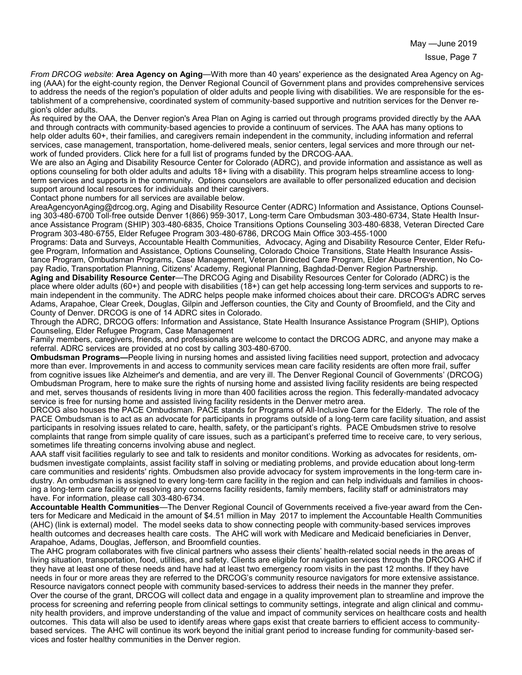*From DRCOG website*: **Area Agency on Aging**—With more than 40 years' experience as the designated Area Agency on Aging (AAA) for the eight-county region, the Denver Regional Council of Government plans and provides comprehensive services to address the needs of the region's population of older adults and people living with disabilities. We are responsible for the establishment of a comprehensive, coordinated system of community-based supportive and nutrition services for the Denver region's older adults.

As required by the OAA, the Denver region's Area Plan on Aging is carried out through programs provided directly by the AAA and through contracts with community-based agencies to provide a continuum of services. The AAA has many options to help older adults 60+, their families, and caregivers remain independent in the community, including information and referral services, case management, transportation, home-delivered meals, senior centers, legal services and more through our network of funded providers. Click here for a full list of programs funded by the DRCOG-AAA.

We are also an Aging and Disability Resource Center for Colorado (ADRC), and provide information and assistance as well as options counseling for both older adults and adults 18+ living with a disability. This program helps streamline access to longterm services and supports in the community. Options counselors are available to offer personalized education and decision support around local resources for individuals and their caregivers.

Contact phone numbers for all services are available below.

AreaAgencyonAging@drcog.org, Aging and Disability Resource Center (ADRC) Information and Assistance, Options Counseling 303-480-6700 Toll-free outside Denver 1(866) 959-3017, Long-term Care Ombudsman 303-480-6734, State Health Insurance Assistance Program (SHIP) 303-480-6835, Choice Transitions Options Counseling 303-480-6838, Veteran Directed Care Program 303-480-6755, Elder Refugee Program 303-480-6786, DRCOG Main Office 303-455-1000

Programs: Data and Surveys, Accountable Health Communities, Advocacy, Aging and Disability Resource Center, Elder Refugee Program, Information and Assistance, Options Counseling, Colorado Choice Transitions, State Health Insurance Assistance Program, Ombudsman Programs, Case Management, Veteran Directed Care Program, Elder Abuse Prevention, No Copay Radio, Transportation Planning, Citizens' Academy, Regional Planning, Baghdad-Denver Region Partnership.

**Aging and Disability Resource Center**—The DRCOG Aging and Disability Resources Center for Colorado (ADRC) is the place where older adults (60+) and people with disabilities (18+) can get help accessing long-term services and supports to remain independent in the community. The ADRC helps people make informed choices about their care. DRCOG's ADRC serves Adams, Arapahoe, Clear Creek, Douglas, Gilpin and Jefferson counties, the City and County of Broomfield, and the City and County of Denver. DRCOG is one of 14 ADRC sites in Colorado.

Through the ADRC, DRCOG offers: Information and Assistance, State Health Insurance Assistance Program (SHIP), Options Counseling, Elder Refugee Program, Case Management

Family members, caregivers, friends, and professionals are welcome to contact the DRCOG ADRC, and anyone may make a referral. ADRC services are provided at no cost by calling 303-480-6700.

**Ombudsman Programs—**People living in nursing homes and assisted living facilities need support, protection and advocacy more than ever. Improvements in and access to community services mean care facility residents are often more frail, suffer from cognitive issues like Alzheimer's and dementia, and are very ill. The Denver Regional Council of Governments' (DRCOG) Ombudsman Program, here to make sure the rights of nursing home and assisted living facility residents are being respected and met, serves thousands of residents living in more than 400 facilities across the region. This federally-mandated advocacy service is free for nursing home and assisted living facility residents in the Denver metro area.

DRCOG also houses the PACE Ombudsman. PACE stands for Programs of All-Inclusive Care for the Elderly. The role of the PACE Ombudsman is to act as an advocate for participants in programs outside of a long-term care facility situation, and assist participants in resolving issues related to care, health, safety, or the participant's rights. PACE Ombudsmen strive to resolve complaints that range from simple quality of care issues, such as a participant's preferred time to receive care, to very serious, sometimes life threating concerns involving abuse and neglect.

AAA staff visit facilities regularly to see and talk to residents and monitor conditions. Working as advocates for residents, ombudsmen investigate complaints, assist facility staff in solving or mediating problems, and provide education about long-term care communities and residents' rights. Ombudsmen also provide advocacy for system improvements in the long-term care industry. An ombudsman is assigned to every long-term care facility in the region and can help individuals and families in choosing a long-term care facility or resolving any concerns facility residents, family members, facility staff or administrators may have. For information, please call 303-480-6734.

**Accountable Health Communities**—The Denver Regional Council of Governments received a five-year award from the Centers for Medicare and Medicaid in the amount of \$4.51 million in May 2017 to implement the Accountable Health Communities (AHC) (link is external) model. The model seeks data to show connecting people with community-based services improves health outcomes and decreases health care costs. The AHC will work with Medicare and Medicaid beneficiaries in Denver, Arapahoe, Adams, Douglas, Jefferson, and Broomfield counties.

The AHC program collaborates with five clinical partners who assess their clients' health-related social needs in the areas of living situation, transportation, food, utilities, and safety. Clients are eligible for navigation services through the DRCOG AHC if they have at least one of these needs and have had at least two emergency room visits in the past 12 months. If they have needs in four or more areas they are referred to the DRCOG's community resource navigators for more extensive assistance. Resource navigators connect people with community based-services to address their needs in the manner they prefer. Over the course of the grant, DRCOG will collect data and engage in a quality improvement plan to streamline and improve the process for screening and referring people from clinical settings to community settings, integrate and align clinical and community health providers, and improve understanding of the value and impact of community services on healthcare costs and health outcomes. This data will also be used to identify areas where gaps exist that create barriers to efficient access to communitybased services. The AHC will continue its work beyond the initial grant period to increase funding for community-based services and foster healthy communities in the Denver region.